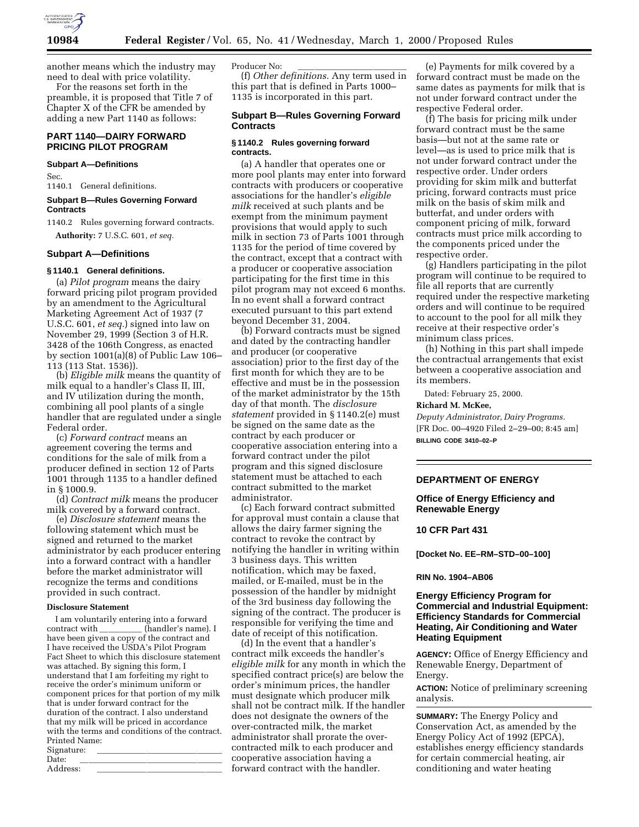

another means which the industry may need to deal with price volatility.

For the reasons set forth in the preamble, it is proposed that Title 7 of Chapter X of the CFR be amended by adding a new Part 1140 as follows:

# **PART 1140—DAIRY FORWARD PRICING PILOT PROGRAM**

## **Subpart A—Definitions**

Sec. 1140.1 General definitions.

## **Subpart B—Rules Governing Forward Contracts**

1140.2 Rules governing forward contracts.

**Authority:** 7 U.S.C. 601, *et seq.*

## **Subpart A—Definitions**

# **§ 1140.1 General definitions.**

(a) *Pilot program* means the dairy forward pricing pilot program provided by an amendment to the Agricultural Marketing Agreement Act of 1937 (7 U.S.C. 601, *et seq.*) signed into law on November 29, 1999 (Section 3 of H.R. 3428 of the 106th Congress, as enacted by section 1001(a)(8) of Public Law 106– 113 (113 Stat. 1536)).

(b) *Eligible milk* means the quantity of milk equal to a handler's Class II, III, and IV utilization during the month, combining all pool plants of a single handler that are regulated under a single Federal order.

(c) *Forward contract* means an agreement covering the terms and conditions for the sale of milk from a producer defined in section 12 of Parts 1001 through 1135 to a handler defined in § 1000.9.

(d) *Contract milk* means the producer milk covered by a forward contract.

(e) *Disclosure statement* means the following statement which must be signed and returned to the market administrator by each producer entering into a forward contract with a handler before the market administrator will recognize the terms and conditions provided in such contract.

## **Disclosure Statement**

I am voluntarily entering into a forward handler's name). I have been given a copy of the contract and I have received the USDA's Pilot Program Fact Sheet to which this disclosure statement was attached. By signing this form, I understand that I am forfeiting my right to receive the order's minimum uniform or component prices for that portion of my milk that is under forward contract for the duration of the contract. I also understand that my milk will be priced in accordance with the terms and conditions of the contract. Printed Name: Signature:<br>Date:

Date: lllllllllllllllll Address:

Producer No:

(f) *Other definitions.* Any term used in this part that is defined in Parts 1000– 1135 is incorporated in this part.

# **Subpart B—Rules Governing Forward Contracts**

## **§ 1140.2 Rules governing forward contracts.**

(a) A handler that operates one or more pool plants may enter into forward contracts with producers or cooperative associations for the handler's *eligible milk* received at such plants and be exempt from the minimum payment provisions that would apply to such milk in section 73 of Parts 1001 through 1135 for the period of time covered by the contract, except that a contract with a producer or cooperative association participating for the first time in this pilot program may not exceed 6 months. In no event shall a forward contract executed pursuant to this part extend beyond December 31, 2004.

(b) Forward contracts must be signed and dated by the contracting handler and producer (or cooperative association) prior to the first day of the first month for which they are to be effective and must be in the possession of the market administrator by the 15th day of that month. The *disclosure statement* provided in § 1140.2(e) must be signed on the same date as the contract by each producer or cooperative association entering into a forward contract under the pilot program and this signed disclosure statement must be attached to each contract submitted to the market administrator.

(c) Each forward contract submitted for approval must contain a clause that allows the dairy farmer signing the contract to revoke the contract by notifying the handler in writing within 3 business days. This written notification, which may be faxed, mailed, or E-mailed, must be in the possession of the handler by midnight of the 3rd business day following the signing of the contract. The producer is responsible for verifying the time and date of receipt of this notification.

(d) In the event that a handler's contract milk exceeds the handler's *eligible milk* for any month in which the specified contract price(s) are below the order's minimum prices, the handler must designate which producer milk shall not be contract milk. If the handler does not designate the owners of the over-contracted milk, the market administrator shall prorate the overcontracted milk to each producer and cooperative association having a forward contract with the handler.

(e) Payments for milk covered by a forward contract must be made on the same dates as payments for milk that is not under forward contract under the respective Federal order.

(f) The basis for pricing milk under forward contract must be the same basis—but not at the same rate or level—as is used to price milk that is not under forward contract under the respective order. Under orders providing for skim milk and butterfat pricing, forward contracts must price milk on the basis of skim milk and butterfat, and under orders with component pricing of milk, forward contracts must price milk according to the components priced under the respective order.

(g) Handlers participating in the pilot program will continue to be required to file all reports that are currently required under the respective marketing orders and will continue to be required to account to the pool for all milk they receive at their respective order's minimum class prices.

(h) Nothing in this part shall impede the contractual arrangements that exist between a cooperative association and its members.

Dated: February 25, 2000.

#### **Richard M. McKee,**

*Deputy Administrator, Dairy Programs.* [FR Doc. 00–4920 Filed 2–29–00; 8:45 am] **BILLING CODE 3410–02–P**

## **DEPARTMENT OF ENERGY**

# **Office of Energy Efficiency and Renewable Energy**

## **10 CFR Part 431**

**[Docket No. EE–RM–STD–00–100]**

### **RIN No. 1904–AB06**

# **Energy Efficiency Program for Commercial and Industrial Equipment: Efficiency Standards for Commercial Heating, Air Conditioning and Water Heating Equipment**

**AGENCY:** Office of Energy Efficiency and Renewable Energy, Department of Energy.

**ACTION:** Notice of preliminary screening analysis.

**SUMMARY:** The Energy Policy and Conservation Act, as amended by the Energy Policy Act of 1992 (EPCA), establishes energy efficiency standards for certain commercial heating, air conditioning and water heating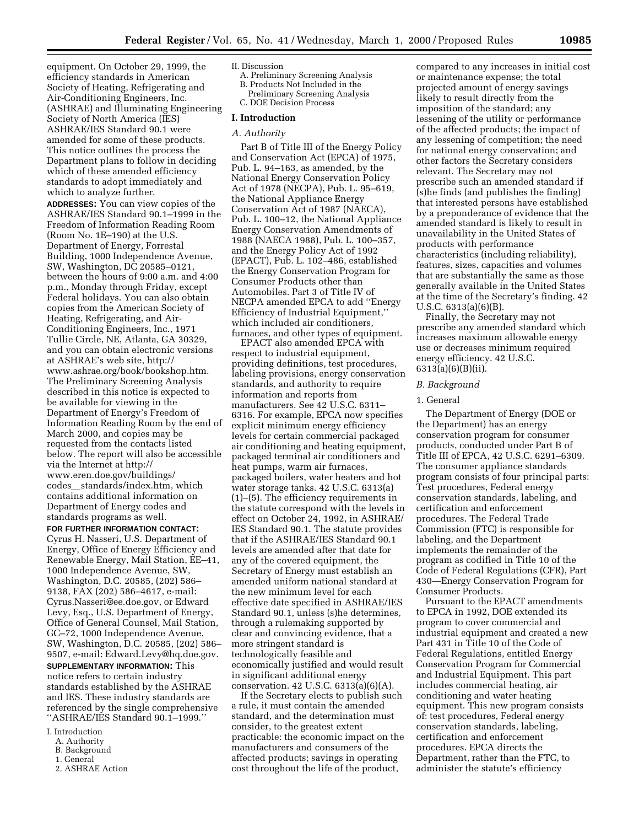equipment. On October 29, 1999, the efficiency standards in American Society of Heating, Refrigerating and Air-Conditioning Engineers, Inc. (ASHRAE) and Illuminating Engineering Society of North America (IES) ASHRAE/IES Standard 90.1 were amended for some of these products. This notice outlines the process the Department plans to follow in deciding which of these amended efficiency standards to adopt immediately and which to analyze further.

**ADDRESSES:** You can view copies of the ASHRAE/IES Standard 90.1–1999 in the Freedom of Information Reading Room (Room No. 1E–190) at the U.S. Department of Energy, Forrestal Building, 1000 Independence Avenue, SW, Washington, DC 20585–0121, between the hours of 9:00 a.m. and 4:00 p.m., Monday through Friday, except Federal holidays. You can also obtain copies from the American Society of Heating, Refrigerating, and Air-Conditioning Engineers, Inc., 1971 Tullie Circle, NE, Atlanta, GA 30329, and you can obtain electronic versions at ASHRAE's web site, http:// www.ashrae.org/book/bookshop.htm. The Preliminary Screening Analysis described in this notice is expected to be available for viewing in the Department of Energy's Freedom of Information Reading Room by the end of March 2000, and copies may be requested from the contacts listed below. The report will also be accessible via the Internet at http:// www.eren.doe.gov/buildings/ codes\_standards/index.htm, which contains additional information on Department of Energy codes and standards programs as well.

## **FOR FURTHER INFORMATION CONTACT:**

Cyrus H. Nasseri, U.S. Department of Energy, Office of Energy Efficiency and Renewable Energy, Mail Station, EE–41, 1000 Independence Avenue, SW, Washington, D.C. 20585, (202) 586– 9138, FAX (202) 586–4617, e-mail: Cyrus.Nasseri@ee.doe.gov, or Edward Levy, Esq., U.S. Department of Energy, Office of General Counsel, Mail Station, GC–72, 1000 Independence Avenue, SW, Washington, D.C. 20585, (202) 586– 9507, e-mail: Edward.Levy@hq.doe.gov.

**SUPPLEMENTARY INFORMATION:** This notice refers to certain industry standards established by the ASHRAE and IES. These industry standards are referenced by the single comprehensive ''ASHRAE/IES Standard 90.1–1999.''

- I. Introduction
	- A. Authority
	- B. Background
	- 1. General 2. ASHRAE Action

# II. Discussion

- A. Preliminary Screening Analysis B. Products Not Included in the
- Preliminary Screening Analysis
- C. DOE Decision Process

# **I. Introduction**

# *A. Authority*

Part B of Title III of the Energy Policy and Conservation Act (EPCA) of 1975, Pub. L. 94–163, as amended, by the National Energy Conservation Policy Act of 1978 (NECPA), Pub. L. 95–619, the National Appliance Energy Conservation Act of 1987 (NAECA), Pub. L. 100–12, the National Appliance Energy Conservation Amendments of 1988 (NAECA 1988), Pub. L. 100–357, and the Energy Policy Act of 1992 (EPACT), Pub. L. 102–486, established the Energy Conservation Program for Consumer Products other than Automobiles. Part 3 of Title IV of NECPA amended EPCA to add ''Energy Efficiency of Industrial Equipment,'' which included air conditioners, furnaces, and other types of equipment.

EPACT also amended EPCA with respect to industrial equipment, providing definitions, test procedures, labeling provisions, energy conservation standards, and authority to require information and reports from manufacturers. See 42 U.S.C. 6311– 6316. For example, EPCA now specifies explicit minimum energy efficiency levels for certain commercial packaged air conditioning and heating equipment, packaged terminal air conditioners and heat pumps, warm air furnaces, packaged boilers, water heaters and hot water storage tanks. 42 U.S.C. 6313(a) (1)–(5). The efficiency requirements in the statute correspond with the levels in effect on October 24, 1992, in ASHRAE/ IES Standard 90.1. The statute provides that if the ASHRAE/IES Standard 90.1 levels are amended after that date for any of the covered equipment, the Secretary of Energy must establish an amended uniform national standard at the new minimum level for each effective date specified in ASHRAE/IES Standard 90.1, unless (s)he determines, through a rulemaking supported by clear and convincing evidence, that a more stringent standard is technologically feasible and economically justified and would result in significant additional energy conservation. 42 U.S.C. 6313(a)(6)(A).

If the Secretary elects to publish such a rule, it must contain the amended standard, and the determination must consider, to the greatest extent practicable: the economic impact on the manufacturers and consumers of the affected products; savings in operating cost throughout the life of the product,

compared to any increases in initial cost or maintenance expense; the total projected amount of energy savings likely to result directly from the imposition of the standard; any lessening of the utility or performance of the affected products; the impact of any lessening of competition; the need for national energy conservation; and other factors the Secretary considers relevant. The Secretary may not prescribe such an amended standard if (s)he finds (and publishes the finding) that interested persons have established by a preponderance of evidence that the amended standard is likely to result in unavailability in the United States of products with performance characteristics (including reliability), features, sizes, capacities and volumes that are substantially the same as those generally available in the United States at the time of the Secretary's finding. 42 U.S.C. 6313(a)(6)(B).

Finally, the Secretary may not prescribe any amended standard which increases maximum allowable energy use or decreases minimum required energy efficiency. 42 U.S.C. 6313(a)(6)(B)(ii).

## *B. Background*

## 1. General

The Department of Energy (DOE or the Department) has an energy conservation program for consumer products, conducted under Part B of Title III of EPCA, 42 U.S.C. 6291–6309. The consumer appliance standards program consists of four principal parts: Test procedures, Federal energy conservation standards, labeling, and certification and enforcement procedures. The Federal Trade Commission (FTC) is responsible for labeling, and the Department implements the remainder of the program as codified in Title 10 of the Code of Federal Regulations (CFR), Part 430—Energy Conservation Program for Consumer Products.

Pursuant to the EPACT amendments to EPCA in 1992, DOE extended its program to cover commercial and industrial equipment and created a new Part 431 in Title 10 of the Code of Federal Regulations, entitled Energy Conservation Program for Commercial and Industrial Equipment. This part includes commercial heating, air conditioning and water heating equipment. This new program consists of: test procedures, Federal energy conservation standards, labeling, certification and enforcement procedures. EPCA directs the Department, rather than the FTC, to administer the statute's efficiency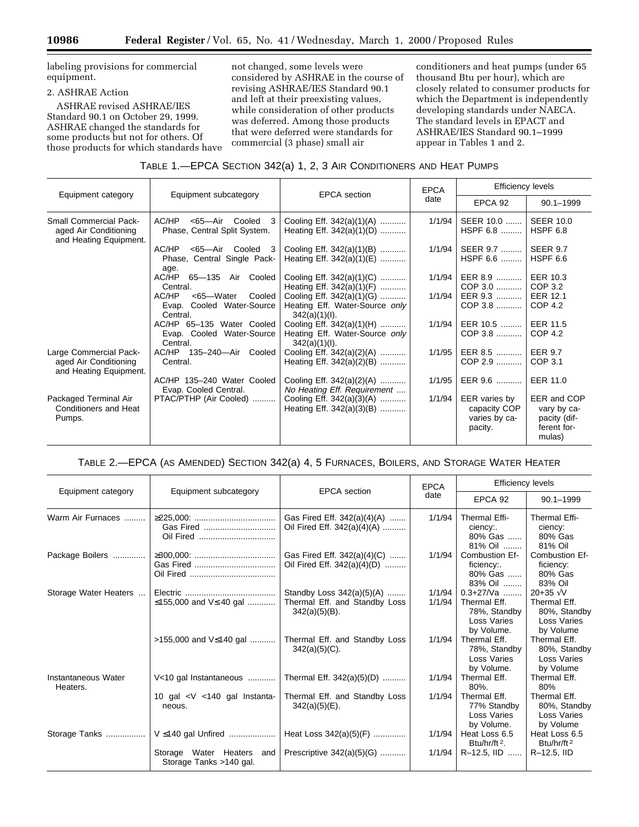labeling provisions for commercial equipment.

# 2. ASHRAE Action

ASHRAE revised ASHRAE/IES Standard 90.1 on October 29, 1999. ASHRAE changed the standards for some products but not for others. Of those products for which standards have not changed, some levels were considered by ASHRAE in the course of revising ASHRAE/IES Standard 90.1 and left at their preexisting values, while consideration of other products was deferred. Among those products that were deferred were standards for commercial (3 phase) small air

conditioners and heat pumps (under 65 thousand Btu per hour), which are closely related to consumer products for which the Department is independently developing standards under NAECA. The standard levels in EPACT and ASHRAE/IES Standard 90.1–1999 appear in Tables 1 and 2.

# TABLE 1.—EPCA SECTION 342(a) 1, 2, 3 AIR CONDITIONERS AND HEAT PUMPS

| Equipment category                                                               | Equipment subcategory                                                 | <b>EPCA</b> section                                                             | <b>EPCA</b><br>date | <b>Efficiency levels</b>                                  |                                                                     |
|----------------------------------------------------------------------------------|-----------------------------------------------------------------------|---------------------------------------------------------------------------------|---------------------|-----------------------------------------------------------|---------------------------------------------------------------------|
|                                                                                  |                                                                       |                                                                                 |                     | EPCA 92                                                   | $90.1 - 1999$                                                       |
| <b>Small Commercial Pack-</b><br>aged Air Conditioning<br>and Heating Equipment. | AC/HP<br><65-Air Cooled<br>3<br>Phase, Central Split System.          | Cooling Eff. 342(a)(1)(A)<br>Heating Eff. $342(a)(1)(D)$                        | 1/1/94              | SEER 10.0   <br>HSPF 6.8                                  | <b>SEER 10.0</b><br>HSPF 6.8                                        |
|                                                                                  | AC/HP<br><65-Air Cooled 3<br>Phase, Central Single Pack-<br>age.      | Cooling Eff. 342(a)(1)(B)<br>Heating Eff. 342(a)(1)(E)                          | 1/1/94              | SEER 9.7    SEER 9.7<br>HSPF 6.6                          | HSPF 6.6                                                            |
|                                                                                  | AC/HP 65-135 Air Cooled<br>Central.                                   | Cooling Eff. 342(a)(1)(C)<br>Heating Eff. 342(a)(1)(F)                          | 1/1/94              | EER 8.9   <br>COP 3.0                                     | EER 10.3<br>COP 3.2                                                 |
|                                                                                  | AC/HP<br><65-Water<br>Cooled<br>Evap. Cooled Water-Source<br>Central. | Cooling Eff. 342(a)(1)(G)<br>Heating Eff. Water-Source only<br>$342(a)(1)(l)$ . | 1/1/94              | EER 9.3   <br>COP 3.8                                     | <b>EER 12.1</b><br>COP 4.2                                          |
|                                                                                  | AC/HP 65-135 Water Cooled<br>Evap. Cooled Water-Source<br>Central.    | Cooling Eff. 342(a)(1)(H)<br>Heating Eff. Water-Source only<br>$342(a)(1)(l)$ . | 1/1/94              | EER 10.5    EER 11.5<br>COP 3.8                           | $COP$ 4.2                                                           |
| Large Commercial Pack-<br>aged Air Conditioning<br>and Heating Equipment.        | AC/HP 135-240-Air Cooled<br>Central.                                  | Cooling Eff. 342(a)(2)(A)<br>Heating Eff. 342(a)(2)(B)                          | 1/1/95              | EER 8.5   <br>COP 2.9                                     | <b>EER 9.7</b><br>COP 3.1                                           |
|                                                                                  | AC/HP 135-240 Water Cooled<br>Evap. Cooled Central.                   | Cooling Eff. 342(a)(2)(A)<br>No Heating Eff. Requirement                        | 1/1/95              | EER 9.6                                                   | EER 11.0                                                            |
| Packaged Terminal Air<br>Conditioners and Heat<br>Pumps.                         | PTAC/PTHP (Air Cooled)                                                | Cooling Eff. 342(a)(3)(A)<br>Heating Eff. 342(a)(3)(B)                          | 1/1/94              | EER varies by<br>capacity COP<br>varies by ca-<br>pacity. | EER and COP<br>vary by ca-<br>pacity (dif-<br>ferent for-<br>mulas) |

# TABLE 2.—EPCA (AS AMENDED) SECTION 342(a) 4, 5 FURNACES, BOILERS, AND STORAGE WATER HEATER

| Equipment category              | Equipment subcategory                                    | <b>EPCA</b> section                                                            | <b>EPCA</b><br>date | <b>Efficiency levels</b>                                                  |                                                                                       |
|---------------------------------|----------------------------------------------------------|--------------------------------------------------------------------------------|---------------------|---------------------------------------------------------------------------|---------------------------------------------------------------------------------------|
|                                 |                                                          |                                                                                |                     | EPCA 92                                                                   | $90.1 - 1999$                                                                         |
| Warm Air Furnaces               | Gas Fired                                                | Gas Fired Eff. 342(a)(4)(A)<br>Oil Fired Eff. 342(a)(4)(A)                     | 1/1/94              | Thermal Effi-<br>ciency:<br>80% Gas<br>81% Oil                            | Thermal Effi-<br>ciency:<br>80% Gas<br>81% Oil                                        |
| Package Boilers                 |                                                          | Gas Fired Eff. 342(a)(4)(C)<br>Oil Fired Eff. 342(a)(4)(D)                     | 1/1/94              | Combustion Ef-<br>ficiency:<br>80% Gas   <br>83% Oil                      | Combustion Ef-<br>ficiency:<br>80% Gas<br>83% Oil                                     |
| Storage Water Heaters           | ≤155,000 and V≤ 40 gal                                   | Standby Loss 342(a)(5)(A)<br>Thermal Eff. and Standby Loss<br>$342(a)(5)(B)$ . | 1/1/94<br>1/1/94    | $0.3+27$ /Va<br>Thermal Eff.<br>78%, Standby<br>Loss Varies<br>by Volume. | $20 + 35 \sqrt{V}$<br>Thermal Eff.<br>80%, Standby<br><b>Loss Varies</b><br>by Volume |
|                                 | $>155,000$ and V $\leq 140$ gal                          | Thermal Eff. and Standby Loss<br>$342(a)(5)(C)$ .                              | 1/1/94              | Thermal Eff.<br>78%, Standby<br><b>Loss Varies</b><br>by Volume.          | Thermal Eff.<br>80%, Standby<br><b>Loss Varies</b><br>by Volume                       |
| Instantaneous Water<br>Heaters. | V<10 gal Instantaneous                                   | Thermal Eff. 342(a)(5)(D)                                                      | 1/1/94              | Thermal Eff.<br>$80%$ .                                                   | Thermal Eff.<br>80%                                                                   |
|                                 | 10 gal $\langle$ V $\langle$ 140 gal Instanta-<br>neous. | Thermal Eff. and Standby Loss<br>$342(a)(5)(E)$ .                              | 1/1/94              | Thermal Eff.<br>77% Standby<br><b>Loss Varies</b><br>by Volume.           | Thermal Eff.<br>80%, Standby<br><b>Loss Varies</b><br>by Volume                       |
| Storage Tanks                   | $V \le 140$ gal Unfired                                  | Heat Loss 342(a)(5)(F)                                                         | 1/1/94              | Heat Loss 6.5<br>Btu/hr/ft <sup>2</sup> .                                 | Heat Loss 6.5<br>Btu/hr/ft <sup>2</sup>                                               |
|                                 | Storage Water Heaters and<br>Storage Tanks >140 gal.     | Prescriptive 342(a)(5)(G)                                                      | 1/1/94              | R-12.5, IID                                                               | R-12.5, IID                                                                           |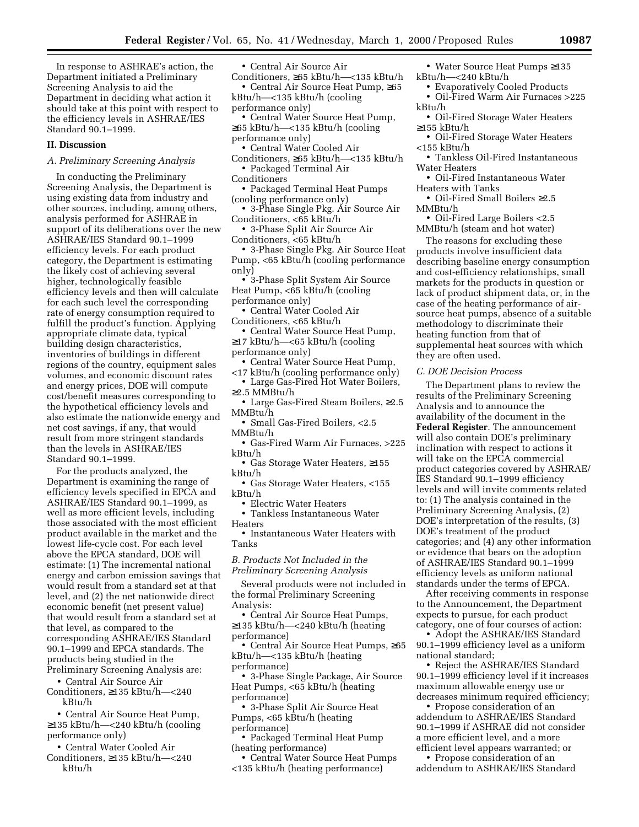In response to ASHRAE's action, the Department initiated a Preliminary Screening Analysis to aid the Department in deciding what action it should take at this point with respect to the efficiency levels in ASHRAE/IES Standard 90.1–1999.

## **II. Discussion**

## *A. Preliminary Screening Analysis*

In conducting the Preliminary Screening Analysis, the Department is using existing data from industry and other sources, including, among others, analysis performed for ASHRAE in support of its deliberations over the new ASHRAE/IES Standard 90.1–1999 efficiency levels. For each product category, the Department is estimating the likely cost of achieving several higher, technologically feasible efficiency levels and then will calculate for each such level the corresponding rate of energy consumption required to fulfill the product's function. Applying appropriate climate data, typical building design characteristics, inventories of buildings in different regions of the country, equipment sales volumes, and economic discount rates and energy prices, DOE will compute cost/benefit measures corresponding to the hypothetical efficiency levels and also estimate the nationwide energy and net cost savings, if any, that would result from more stringent standards than the levels in ASHRAE/IES Standard 90.1–1999.

For the products analyzed, the Department is examining the range of efficiency levels specified in EPCA and ASHRAE/IES Standard 90.1–1999, as well as more efficient levels, including those associated with the most efficient product available in the market and the lowest life-cycle cost. For each level above the EPCA standard, DOE will estimate: (1) The incremental national energy and carbon emission savings that would result from a standard set at that level, and (2) the net nationwide direct economic benefit (net present value) that would result from a standard set at that level, as compared to the corresponding ASHRAE/IES Standard 90.1–1999 and EPCA standards. The products being studied in the Preliminary Screening Analysis are:

• Central Air Source Air Conditioners, ≥135 kBtu/h—<240

kBtu/h

• Central Air Source Heat Pump, ≥135 kBtu/h—<240 kBtu/h (cooling performance only)

• Central Water Cooled Air Conditioners, ≥135 kBtu/h—<240 kBtu/h

• Central Air Source Air

Conditioners, ≥65 kBtu/h—<135 kBtu/h • Central Air Source Heat Pump, ≥65 kBtu/h—<135 kBtu/h (cooling performance only)

- Central Water Source Heat Pump, ≥65 kBtu/h—<135 kBtu/h (cooling
- performance only)
- Central Water Cooled Air
- Conditioners, ≥65 kBtu/h—<135 kBtu/h • Packaged Terminal Air
- Conditioners
- Packaged Terminal Heat Pumps (cooling performance only)
- 3-Phase Single Pkg. Air Source Air Conditioners, <65 kBtu/h
- 3-Phase Split Air Source Air Conditioners, <65 kBtu/h
- 3-Phase Single Pkg. Air Source Heat Pump, <65 kBtu/h (cooling performance only)
- 3-Phase Split System Air Source Heat Pump, <65 kBtu/h (cooling performance only)
- Central Water Cooled Air Conditioners, <65 kBtu/h
- Central Water Source Heat Pump, ≥17 kBtu/h—<65 kBtu/h (cooling performance only)
- Central Water Source Heat Pump,
- <17 kBtu/h (cooling performance only)
- Large Gas-Fired Hot Water Boilers, ≥2.5 MMBtu/h
- Large Gas-Fired Steam Boilers, ≥2.5 MMBtu/h
- Small Gas-Fired Boilers, <2.5 MMBtu/h
- Gas-Fired Warm Air Furnaces, >225 kBtu/h
- Gas Storage Water Heaters, ≥155 kBtu/h
- Gas Storage Water Heaters, <155 kBtu/h
	- Electric Water Heaters
- Tankless Instantaneous Water Heaters
- Instantaneous Water Heaters with Tanks

*B. Products Not Included in the Preliminary Screening Analysis*

Several products were not included in the formal Preliminary Screening Analysis:

• Central Air Source Heat Pumps, ≥135 kBtu/h—<240 kBtu/h (heating performance)

• Central Air Source Heat Pumps, ≥65 kBtu/h—<135 kBtu/h (heating performance)

• 3-Phase Single Package, Air Source Heat Pumps, <65 kBtu/h (heating performance)

• 3-Phase Split Air Source Heat Pumps, <65 kBtu/h (heating performance)

• Packaged Terminal Heat Pump (heating performance)

• Central Water Source Heat Pumps <135 kBtu/h (heating performance)

- Water Source Heat Pumps ≥135 kBtu/h—<240 kBtu/h
	- Evaporatively Cooled Products
- Oil-Fired Warm Air Furnaces >225 kBtu/h
- Oil-Fired Storage Water Heaters ≥155 kBtu/h
- Oil-Fired Storage Water Heaters <155 kBtu/h
- Tankless Oil-Fired Instantaneous Water Heaters
- Oil-Fired Instantaneous Water Heaters with Tanks
- Oil-Fired Small Boilers ≥2.5 MMBtu/h

• Oil-Fired Large Boilers <2.5 MMBtu/h (steam and hot water)

The reasons for excluding these products involve insufficient data describing baseline energy consumption and cost-efficiency relationships, small markets for the products in question or lack of product shipment data, or, in the case of the heating performance of airsource heat pumps, absence of a suitable methodology to discriminate their heating function from that of supplemental heat sources with which they are often used.

*C. DOE Decision Process*

The Department plans to review the results of the Preliminary Screening Analysis and to announce the availability of the document in the **Federal Register**. The announcement will also contain DOE's preliminary inclination with respect to actions it will take on the EPCA commercial product categories covered by ASHRAE/ IES Standard 90.1–1999 efficiency levels and will invite comments related to: (1) The analysis contained in the Preliminary Screening Analysis, (2) DOE's interpretation of the results, (3) DOE's treatment of the product categories; and (4) any other information or evidence that bears on the adoption of ASHRAE/IES Standard 90.1–1999 efficiency levels as uniform national standards under the terms of EPCA.

After receiving comments in response to the Announcement, the Department expects to pursue, for each product category, one of four courses of action:

• Adopt the ASHRAE/IES Standard 90.1–1999 efficiency level as a uniform national standard;

• Reject the ASHRAE/IES Standard 90.1–1999 efficiency level if it increases maximum allowable energy use or decreases minimum required efficiency;

• Propose consideration of an addendum to ASHRAE/IES Standard 90.1–1999 if ASHRAE did not consider a more efficient level, and a more efficient level appears warranted; or

• Propose consideration of an addendum to ASHRAE/IES Standard